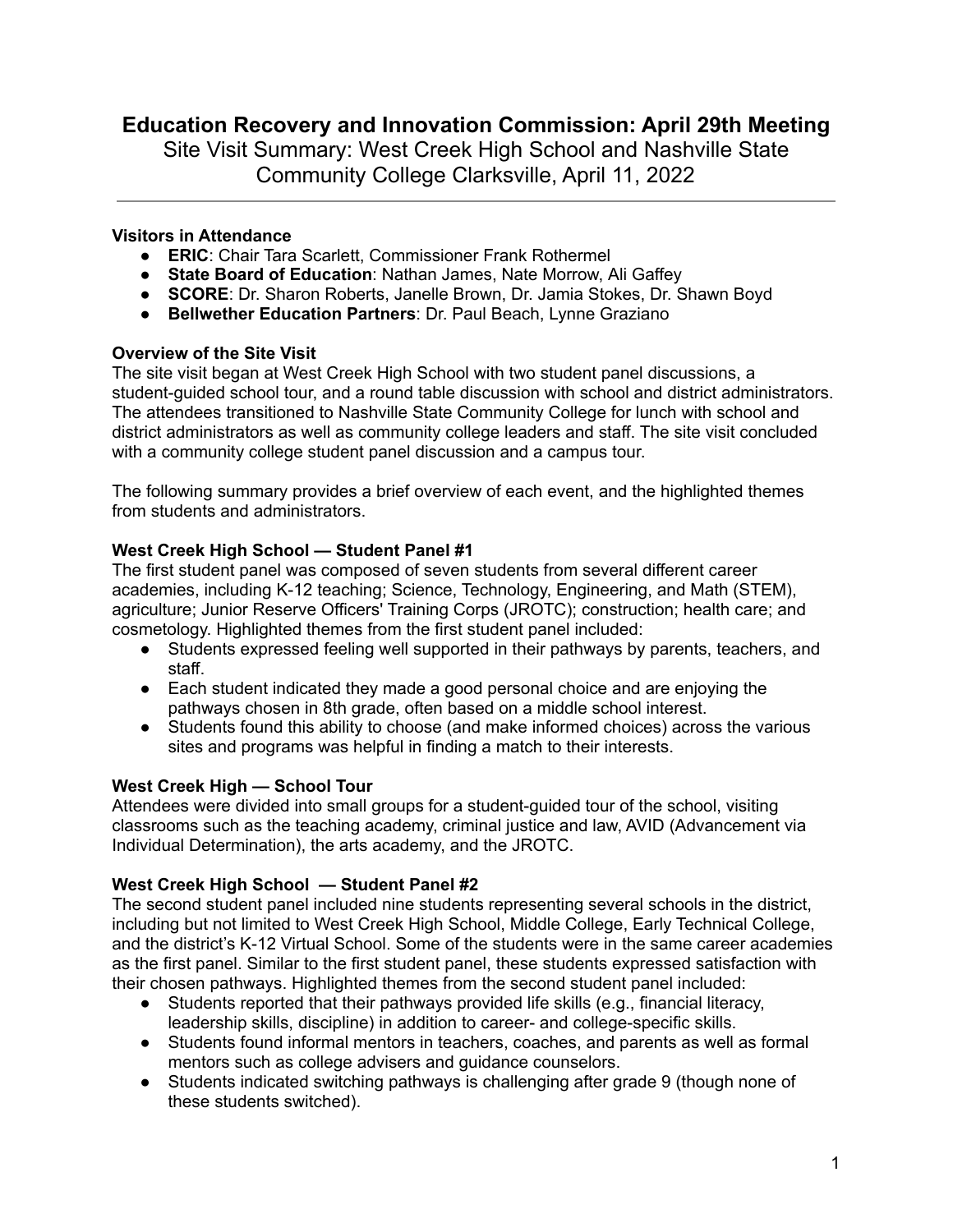# **Education Recovery and Innovation Commission: April 29th Meeting**

Site Visit Summary: West Creek High School and Nashville State Community College Clarksville, April 11, 2022

## **Visitors in Attendance**

- **ERIC**: Chair Tara Scarlett, Commissioner Frank Rothermel
- **State Board of Education**: Nathan James, Nate Morrow, Ali Gaffey
- **SCORE**: Dr. Sharon Roberts, Janelle Brown, Dr. Jamia Stokes, Dr. Shawn Boyd
- **Bellwether Education Partners**: Dr. Paul Beach, Lynne Graziano

#### **Overview of the Site Visit**

The site visit began at West Creek High School with two student panel discussions, a student-guided school tour, and a round table discussion with school and district administrators. The attendees transitioned to Nashville State Community College for lunch with school and district administrators as well as community college leaders and staff. The site visit concluded with a community college student panel discussion and a campus tour.

The following summary provides a brief overview of each event, and the highlighted themes from students and administrators.

## **West Creek High School — Student Panel #1**

The first student panel was composed of seven students from several different career academies, including K-12 teaching; Science, Technology, Engineering, and Math (STEM), agriculture; Junior Reserve Officers' Training Corps (JROTC); construction; health care; and cosmetology. Highlighted themes from the first student panel included:

- Students expressed feeling well supported in their pathways by parents, teachers, and staff.
- Each student indicated they made a good personal choice and are enjoying the pathways chosen in 8th grade, often based on a middle school interest.
- Students found this ability to choose (and make informed choices) across the various sites and programs was helpful in finding a match to their interests.

#### **West Creek High — School Tour**

Attendees were divided into small groups for a student-guided tour of the school, visiting classrooms such as the teaching academy, criminal justice and law, AVID (Advancement via Individual Determination), the arts academy, and the JROTC.

#### **West Creek High School — Student Panel #2**

The second student panel included nine students representing several schools in the district, including but not limited to West Creek High School, Middle College, Early Technical College, and the district's K-12 Virtual School. Some of the students were in the same career academies as the first panel. Similar to the first student panel, these students expressed satisfaction with their chosen pathways. Highlighted themes from the second student panel included:

- Students reported that their pathways provided life skills (e.g., financial literacy, leadership skills, discipline) in addition to career- and college-specific skills.
- Students found informal mentors in teachers, coaches, and parents as well as formal mentors such as college advisers and guidance counselors.
- Students indicated switching pathways is challenging after grade 9 (though none of these students switched).